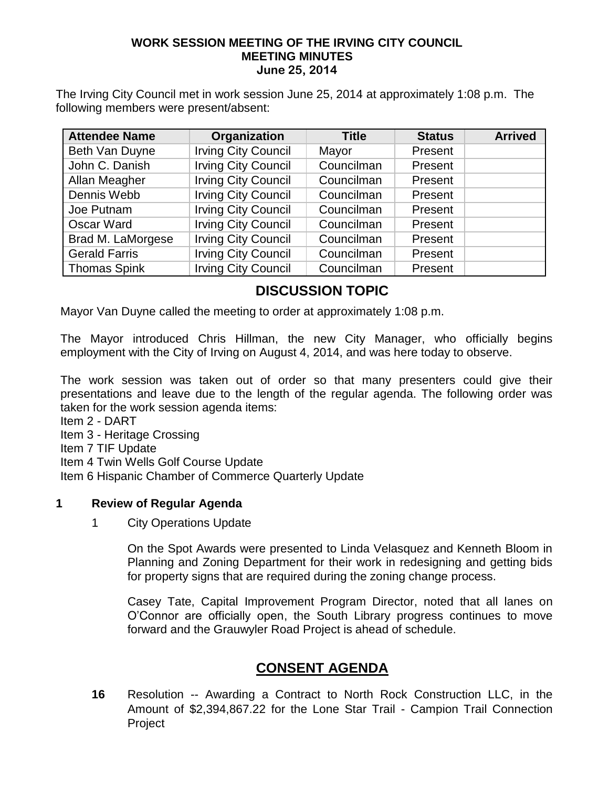#### **WORK SESSION MEETING OF THE IRVING CITY COUNCIL MEETING MINUTES June 25, 2014**

The Irving City Council met in work session June 25, 2014 at approximately 1:08 p.m. The following members were present/absent:

| <b>Attendee Name</b> | Organization               | <b>Title</b> | <b>Status</b> | <b>Arrived</b> |
|----------------------|----------------------------|--------------|---------------|----------------|
| Beth Van Duyne       | <b>Irving City Council</b> | Mayor        | Present       |                |
| John C. Danish       | <b>Irving City Council</b> | Councilman   | Present       |                |
| Allan Meagher        | <b>Irving City Council</b> | Councilman   | Present       |                |
| Dennis Webb          | <b>Irving City Council</b> | Councilman   | Present       |                |
| Joe Putnam           | <b>Irving City Council</b> | Councilman   | Present       |                |
| <b>Oscar Ward</b>    | <b>Irving City Council</b> | Councilman   | Present       |                |
| Brad M. LaMorgese    | <b>Irving City Council</b> | Councilman   | Present       |                |
| <b>Gerald Farris</b> | <b>Irving City Council</b> | Councilman   | Present       |                |
| Thomas Spink         | <b>Irving City Council</b> | Councilman   | Present       |                |

# **DISCUSSION TOPIC**

Mayor Van Duyne called the meeting to order at approximately 1:08 p.m.

The Mayor introduced Chris Hillman, the new City Manager, who officially begins employment with the City of Irving on August 4, 2014, and was here today to observe.

The work session was taken out of order so that many presenters could give their presentations and leave due to the length of the regular agenda. The following order was taken for the work session agenda items:

Item 2 - DART

Item 3 - Heritage Crossing

Item 7 TIF Update

Item 4 Twin Wells Golf Course Update

Item 6 Hispanic Chamber of Commerce Quarterly Update

#### **1 Review of Regular Agenda**

1 City Operations Update

On the Spot Awards were presented to Linda Velasquez and Kenneth Bloom in Planning and Zoning Department for their work in redesigning and getting bids for property signs that are required during the zoning change process.

Casey Tate, Capital Improvement Program Director, noted that all lanes on O'Connor are officially open, the South Library progress continues to move forward and the Grauwyler Road Project is ahead of schedule.

# **CONSENT AGENDA**

**16** Resolution -- Awarding a Contract to North Rock Construction LLC, in the Amount of \$2,394,867.22 for the Lone Star Trail - Campion Trail Connection Project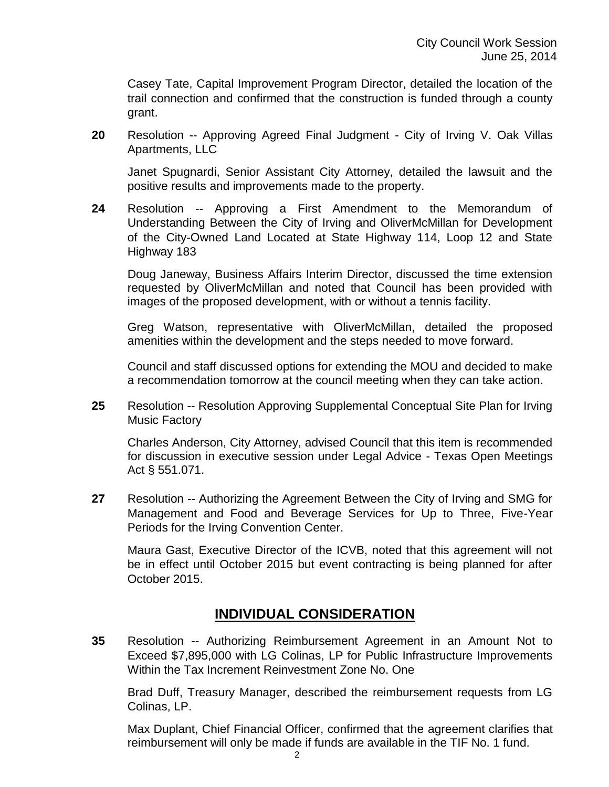Casey Tate, Capital Improvement Program Director, detailed the location of the trail connection and confirmed that the construction is funded through a county grant.

**20** Resolution -- Approving Agreed Final Judgment - City of Irving V. Oak Villas Apartments, LLC

Janet Spugnardi, Senior Assistant City Attorney, detailed the lawsuit and the positive results and improvements made to the property.

**24** Resolution -- Approving a First Amendment to the Memorandum of Understanding Between the City of Irving and OliverMcMillan for Development of the City-Owned Land Located at State Highway 114, Loop 12 and State Highway 183

Doug Janeway, Business Affairs Interim Director, discussed the time extension requested by OliverMcMillan and noted that Council has been provided with images of the proposed development, with or without a tennis facility.

Greg Watson, representative with OliverMcMillan, detailed the proposed amenities within the development and the steps needed to move forward.

Council and staff discussed options for extending the MOU and decided to make a recommendation tomorrow at the council meeting when they can take action.

**25** Resolution -- Resolution Approving Supplemental Conceptual Site Plan for Irving Music Factory

Charles Anderson, City Attorney, advised Council that this item is recommended for discussion in executive session under Legal Advice - Texas Open Meetings Act § 551.071.

**27** Resolution -- Authorizing the Agreement Between the City of Irving and SMG for Management and Food and Beverage Services for Up to Three, Five-Year Periods for the Irving Convention Center.

Maura Gast, Executive Director of the ICVB, noted that this agreement will not be in effect until October 2015 but event contracting is being planned for after October 2015.

# **INDIVIDUAL CONSIDERATION**

**35** Resolution -- Authorizing Reimbursement Agreement in an Amount Not to Exceed \$7,895,000 with LG Colinas, LP for Public Infrastructure Improvements Within the Tax Increment Reinvestment Zone No. One

Brad Duff, Treasury Manager, described the reimbursement requests from LG Colinas, LP.

Max Duplant, Chief Financial Officer, confirmed that the agreement clarifies that reimbursement will only be made if funds are available in the TIF No. 1 fund.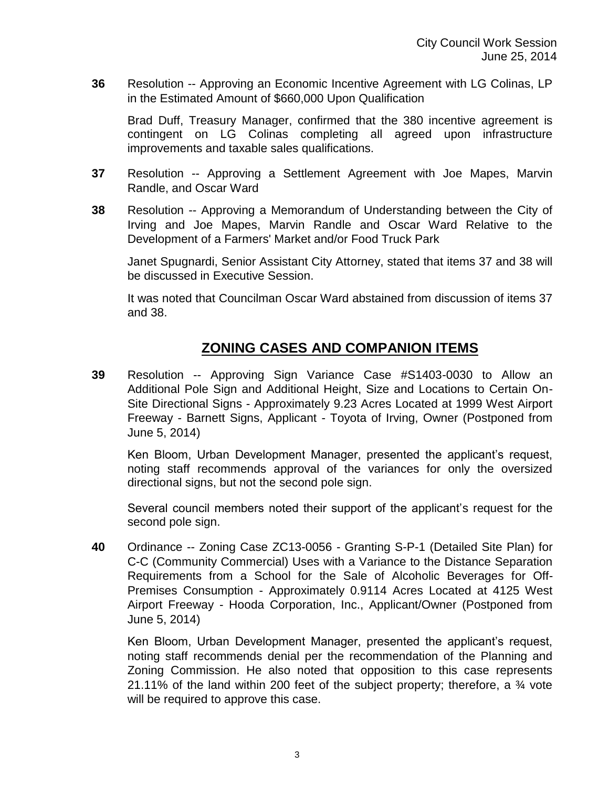**36** Resolution -- Approving an Economic Incentive Agreement with LG Colinas, LP in the Estimated Amount of \$660,000 Upon Qualification

Brad Duff, Treasury Manager, confirmed that the 380 incentive agreement is contingent on LG Colinas completing all agreed upon infrastructure improvements and taxable sales qualifications.

- **37** Resolution -- Approving a Settlement Agreement with Joe Mapes, Marvin Randle, and Oscar Ward
- **38** Resolution -- Approving a Memorandum of Understanding between the City of Irving and Joe Mapes, Marvin Randle and Oscar Ward Relative to the Development of a Farmers' Market and/or Food Truck Park

Janet Spugnardi, Senior Assistant City Attorney, stated that items 37 and 38 will be discussed in Executive Session.

It was noted that Councilman Oscar Ward abstained from discussion of items 37 and 38.

# **ZONING CASES AND COMPANION ITEMS**

**39** Resolution -- Approving Sign Variance Case #S1403-0030 to Allow an Additional Pole Sign and Additional Height, Size and Locations to Certain On-Site Directional Signs - Approximately 9.23 Acres Located at 1999 West Airport Freeway - Barnett Signs, Applicant - Toyota of Irving, Owner (Postponed from June 5, 2014)

Ken Bloom, Urban Development Manager, presented the applicant's request, noting staff recommends approval of the variances for only the oversized directional signs, but not the second pole sign.

Several council members noted their support of the applicant's request for the second pole sign.

**40** Ordinance -- Zoning Case ZC13-0056 - Granting S-P-1 (Detailed Site Plan) for C-C (Community Commercial) Uses with a Variance to the Distance Separation Requirements from a School for the Sale of Alcoholic Beverages for Off-Premises Consumption - Approximately 0.9114 Acres Located at 4125 West Airport Freeway - Hooda Corporation, Inc., Applicant/Owner (Postponed from June 5, 2014)

Ken Bloom, Urban Development Manager, presented the applicant's request, noting staff recommends denial per the recommendation of the Planning and Zoning Commission. He also noted that opposition to this case represents 21.11% of the land within 200 feet of the subject property; therefore, a ¾ vote will be required to approve this case.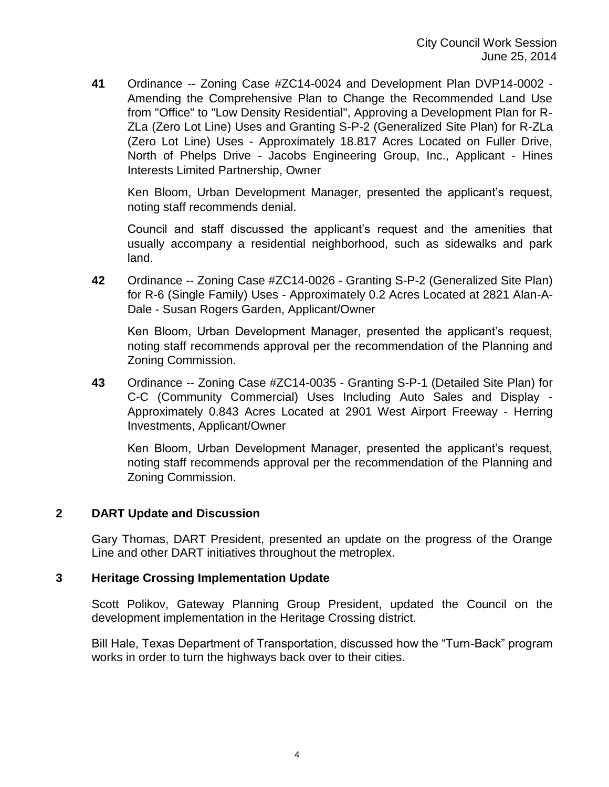**41** Ordinance -- Zoning Case #ZC14-0024 and Development Plan DVP14-0002 - Amending the Comprehensive Plan to Change the Recommended Land Use from "Office" to "Low Density Residential", Approving a Development Plan for R-ZLa (Zero Lot Line) Uses and Granting S-P-2 (Generalized Site Plan) for R-ZLa (Zero Lot Line) Uses - Approximately 18.817 Acres Located on Fuller Drive, North of Phelps Drive - Jacobs Engineering Group, Inc., Applicant - Hines Interests Limited Partnership, Owner

Ken Bloom, Urban Development Manager, presented the applicant's request, noting staff recommends denial.

Council and staff discussed the applicant's request and the amenities that usually accompany a residential neighborhood, such as sidewalks and park land.

**42** Ordinance -- Zoning Case #ZC14-0026 - Granting S-P-2 (Generalized Site Plan) for R-6 (Single Family) Uses - Approximately 0.2 Acres Located at 2821 Alan-A-Dale - Susan Rogers Garden, Applicant/Owner

Ken Bloom, Urban Development Manager, presented the applicant's request, noting staff recommends approval per the recommendation of the Planning and Zoning Commission.

**43** Ordinance -- Zoning Case #ZC14-0035 - Granting S-P-1 (Detailed Site Plan) for C-C (Community Commercial) Uses Including Auto Sales and Display - Approximately 0.843 Acres Located at 2901 West Airport Freeway - Herring Investments, Applicant/Owner

Ken Bloom, Urban Development Manager, presented the applicant's request, noting staff recommends approval per the recommendation of the Planning and Zoning Commission.

### **2 DART Update and Discussion**

Gary Thomas, DART President, presented an update on the progress of the Orange Line and other DART initiatives throughout the metroplex.

### **3 Heritage Crossing Implementation Update**

Scott Polikov, Gateway Planning Group President, updated the Council on the development implementation in the Heritage Crossing district.

Bill Hale, Texas Department of Transportation, discussed how the "Turn-Back" program works in order to turn the highways back over to their cities.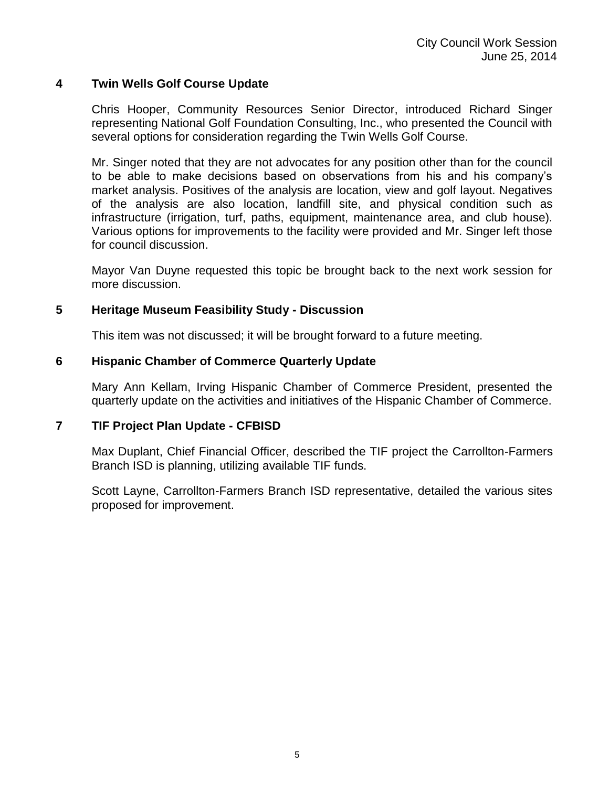### **4 Twin Wells Golf Course Update**

Chris Hooper, Community Resources Senior Director, introduced Richard Singer representing National Golf Foundation Consulting, Inc., who presented the Council with several options for consideration regarding the Twin Wells Golf Course.

Mr. Singer noted that they are not advocates for any position other than for the council to be able to make decisions based on observations from his and his company's market analysis. Positives of the analysis are location, view and golf layout. Negatives of the analysis are also location, landfill site, and physical condition such as infrastructure (irrigation, turf, paths, equipment, maintenance area, and club house). Various options for improvements to the facility were provided and Mr. Singer left those for council discussion.

Mayor Van Duyne requested this topic be brought back to the next work session for more discussion.

### **5 Heritage Museum Feasibility Study - Discussion**

This item was not discussed; it will be brought forward to a future meeting.

### **6 Hispanic Chamber of Commerce Quarterly Update**

Mary Ann Kellam, Irving Hispanic Chamber of Commerce President, presented the quarterly update on the activities and initiatives of the Hispanic Chamber of Commerce.

### **7 TIF Project Plan Update - CFBISD**

Max Duplant, Chief Financial Officer, described the TIF project the Carrollton-Farmers Branch ISD is planning, utilizing available TIF funds.

Scott Layne, Carrollton-Farmers Branch ISD representative, detailed the various sites proposed for improvement.